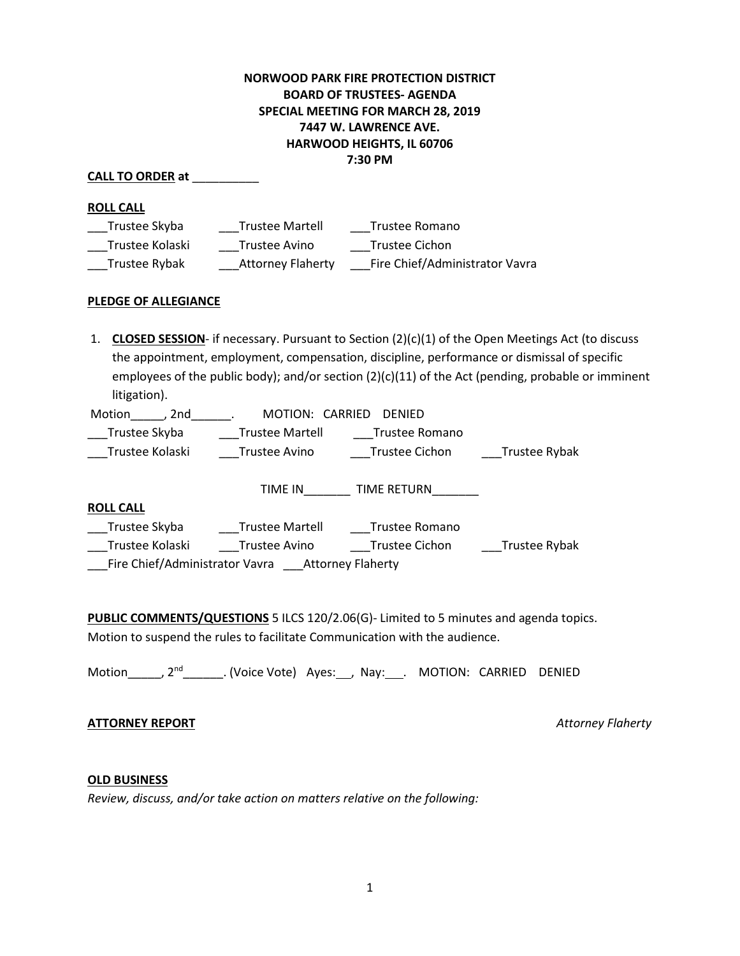# **NORWOOD PARK FIRE PROTECTION DISTRICT BOARD OF TRUSTEES- AGENDA SPECIAL MEETING FOR MARCH 28, 2019 7447 W. LAWRENCE AVE. HARWOOD HEIGHTS, IL 60706 7:30 PM**

## **CALL TO ORDER at** \_\_\_\_\_\_\_\_\_\_

### **ROLL CALL**

| Trustee Skyba   | <b>Trustee Martell</b>   | Trustee Romano                 |
|-----------------|--------------------------|--------------------------------|
| Trustee Kolaski | Trustee Avino            | Trustee Cichon                 |
| Trustee Rybak   | <b>Attorney Flaherty</b> | Fire Chief/Administrator Vavra |

### **PLEDGE OF ALLEGIANCE**

1. **CLOSED SESSION**- if necessary. Pursuant to Section (2)(c)(1) of the Open Meetings Act (to discuss the appointment, employment, compensation, discipline, performance or dismissal of specific employees of the public body); and/or section (2)(c)(11) of the Act (pending, probable or imminent litigation).

| Motion<br>2nd.  | MOTION: CARRIED        | <b>DENIED</b>      |               |
|-----------------|------------------------|--------------------|---------------|
| Trustee Skyba   | <b>Trustee Martell</b> | Trustee Romano     |               |
| Trustee Kolaski | Trustee Avino          | Trustee Cichon     | Trustee Rybak |
|                 |                        |                    |               |
|                 | TIME IN                | <b>TIME RETURN</b> |               |

| <b>ROLL CALL</b>               |                        |                          |               |
|--------------------------------|------------------------|--------------------------|---------------|
| Trustee Skyba                  | <b>Trustee Martell</b> | Trustee Romano           |               |
| Trustee Kolaski                | Trustee Avino          | Trustee Cichon           | Trustee Rybak |
| Fire Chief/Administrator Vavra |                        | <b>Attorney Flaherty</b> |               |

**PUBLIC COMMENTS/QUESTIONS** 5 ILCS 120/2.06(G)- Limited to 5 minutes and agenda topics. Motion to suspend the rules to facilitate Communication with the audience.

Motion\_\_\_\_\_\_, 2<sup>nd</sup>\_\_\_\_\_\_\_\_. (Voice Vote) Ayes:\_\_\_, Nay:\_\_\_\_. MOTION: CARRIED DENIED

## **ATTORNEY REPORT** *Attorney Flaherty*

#### **OLD BUSINESS**

*Review, discuss, and/or take action on matters relative on the following:*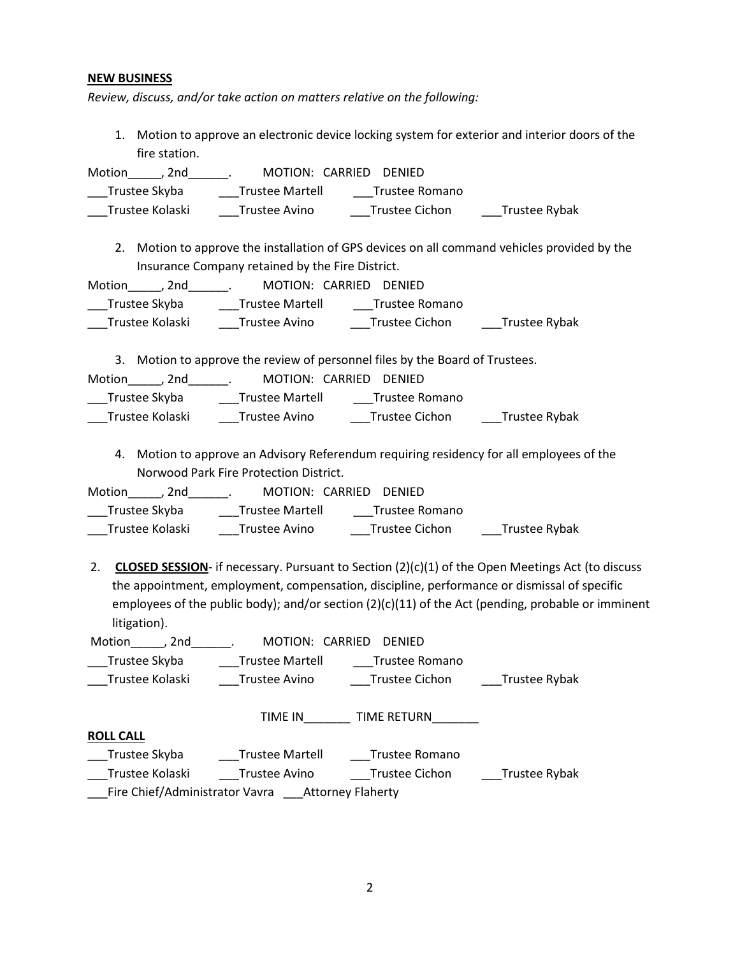### **NEW BUSINESS**

*Review, discuss, and/or take action on matters relative on the following:*

1. Motion to approve an electronic device locking system for exterior and interior doors of the fire station.

| Motion<br>. 2nd |                        | MOTION: CARRIED DENIED |               |
|-----------------|------------------------|------------------------|---------------|
| Trustee Skyba   | <b>Trustee Martell</b> | Trustee Romano         |               |
| Trustee Kolaski | Trustee Avino          | Trustee Cichon         | Trustee Rybak |

2. Motion to approve the installation of GPS devices on all command vehicles provided by the Insurance Company retained by the Fire District.

Motion\_\_\_\_\_, 2nd\_\_\_\_\_\_. MOTION: CARRIED DENIED \_Trustee Skyba \_\_\_\_\_\_\_Trustee Martell \_\_\_\_\_\_\_Trustee Romano \_\_\_Trustee Kolaski \_\_\_\_Trustee Avino \_\_\_\_\_Trustee Cichon \_\_\_\_\_Trustee Rybak

3. Motion to approve the review of personnel files by the Board of Trustees.

| Motion<br>2nd   |                        | MOTION: CARRIED DENIED |               |
|-----------------|------------------------|------------------------|---------------|
| Trustee Skyba   | <b>Trustee Martell</b> | Trustee Romano         |               |
| Trustee Kolaski | Trustee Avino          | Trustee Cichon         | Trustee Rybak |

4. Motion to approve an Advisory Referendum requiring residency for all employees of the Norwood Park Fire Protection District.

| Motion<br>. 2nd |                        | MOTION: CARRIED DENIED |               |
|-----------------|------------------------|------------------------|---------------|
| Trustee Skyba   | <b>Trustee Martell</b> | Trustee Romano         |               |
| Trustee Kolaski | Trustee Avino          | Trustee Cichon         | Trustee Rybak |

2. **CLOSED SESSION**- if necessary. Pursuant to Section (2)(c)(1) of the Open Meetings Act (to discuss the appointment, employment, compensation, discipline, performance or dismissal of specific employees of the public body); and/or section (2)(c)(11) of the Act (pending, probable or imminent litigation).

| Motion<br>2nd   | MOTION: CARRIED        | <b>DENIED</b>  |               |
|-----------------|------------------------|----------------|---------------|
| Trustee Skyba   | <b>Trustee Martell</b> | Trustee Romano |               |
| Trustee Kolaski | Trustee Avino          | Trustee Cichon | Trustee Rybak |
|                 | TIME IN                | TIME RETURN    |               |

| KULL CALL |  |  |
|-----------|--|--|
|           |  |  |

**ROLL CALL**

| Trustee Skyba                  | <b>Trustee Martell</b> | Trustee Romano           |               |
|--------------------------------|------------------------|--------------------------|---------------|
| Trustee Kolaski                | Trustee Avino          | Trustee Cichon           | Trustee Rybak |
| Fire Chief/Administrator Vavra |                        | <b>Attorney Flaherty</b> |               |